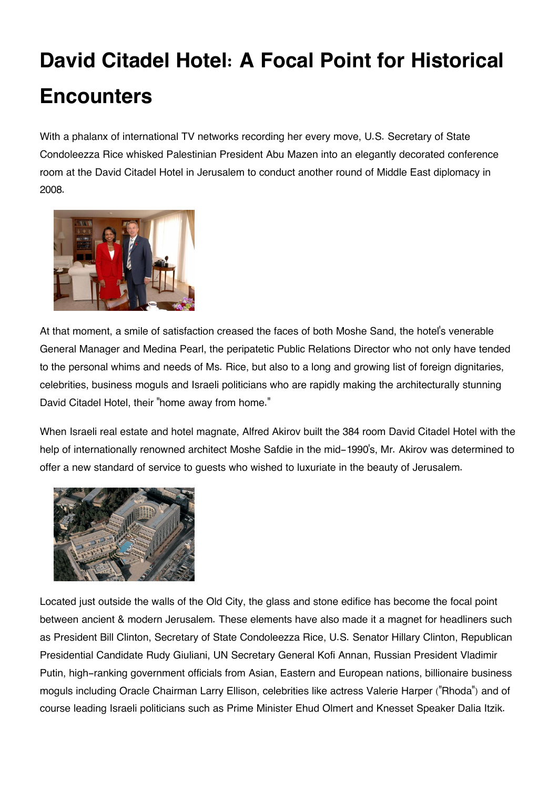## **David Citadel Hotel: A Focal Point for Historical Encounters**

With a phalanx of international TV networks recording her every move, U.S. Secretary of State Condoleezza Rice whisked Palestinian President Abu Mazen into an elegantly decorated conference room at the David Citadel Hotel in Jerusalem to conduct another round of Middle East diplomacy in 2008.



At that moment, a smile of satisfaction creased the faces of both Moshe Sand, the hotel's venerable General Manager and Medina Pearl, the peripatetic Public Relations Director who not only have tended to the personal whims and needs of Ms. Rice, but also to a long and growing list of foreign dignitaries, celebrities, business moguls and Israeli politicians who are rapidly making the architecturally stunning David Citadel Hotel, their "home away from home."

When Israeli real estate and hotel magnate, Alfred Akirov built the 384 room David Citadel Hotel with the help of internationally renowned architect Moshe Safdie in the mid-1990's, Mr. Akirov was determined to offer a new standard of service to guests who wished to luxuriate in the beauty of Jerusalem.



Located just outside the walls of the Old City, the glass and stone edifice has become the focal point between ancient & modern Jerusalem. These elements have also made it a magnet for headliners such as President Bill Clinton, Secretary of State Condoleezza Rice, U.S. Senator Hillary Clinton, Republican Presidential Candidate Rudy Giuliani, UN Secretary General Kofi Annan, Russian President Vladimir Putin, high-ranking government officials from Asian, Eastern and European nations, billionaire business moguls including Oracle Chairman Larry Ellison, celebrities like actress Valerie Harper ("Rhoda") and of course leading Israeli politicians such as Prime Minister Ehud Olmert and Knesset Speaker Dalia Itzik.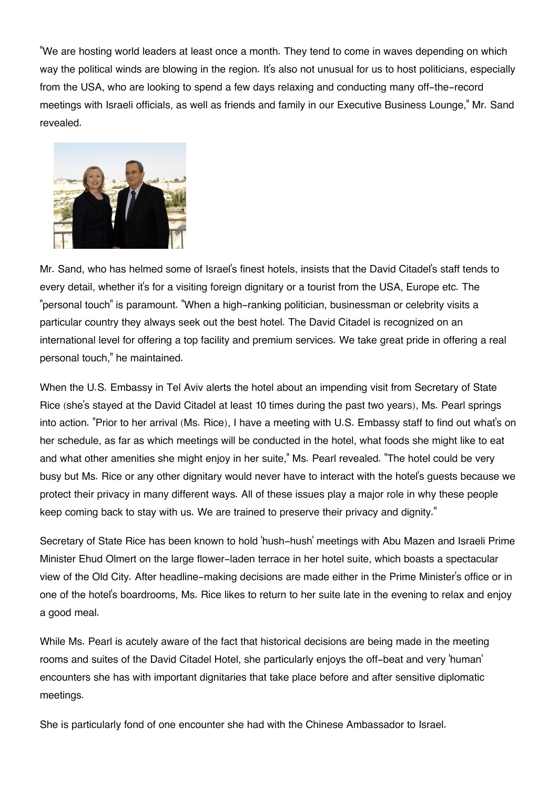"We are hosting world leaders at least once a month. They tend to come in waves depending on which way the political winds are blowing in the region. It's also not unusual for us to host politicians, especially from the USA, who are looking to spend a few days relaxing and conducting many off-the-record meetings with Israeli officials, as well as friends and family in our Executive Business Lounge," Mr. Sand revealed.



Mr. Sand, who has helmed some of Israel's finest hotels, insists that the David Citadel's staff tends to every detail, whether it's for a visiting foreign dignitary or a tourist from the USA, Europe etc. The "personal touch" is paramount. "When a high-ranking politician, businessman or celebrity visits a particular country they always seek out the best hotel. The David Citadel is recognized on an international level for offering a top facility and premium services. We take great pride in offering a real personal touch," he maintained.

When the U.S. Embassy in Tel Aviv alerts the hotel about an impending visit from Secretary of State Rice (she's stayed at the David Citadel at least 10 times during the past two years), Ms. Pearl springs into action. "Prior to her arrival (Ms. Rice), I have a meeting with U.S. Embassy staff to find out what's on her schedule, as far as which meetings will be conducted in the hotel, what foods she might like to eat and what other amenities she might enjoy in her suite," Ms. Pearl revealed. "The hotel could be very busy but Ms. Rice or any other dignitary would never have to interact with the hotel's guests because we protect their privacy in many different ways. All of these issues play a major role in why these people keep coming back to stay with us. We are trained to preserve their privacy and dignity."

Secretary of State Rice has been known to hold 'hush-hush' meetings with Abu Mazen and Israeli Prime Minister Ehud Olmert on the large flower-laden terrace in her hotel suite, which boasts a spectacular view of the Old City. After headline-making decisions are made either in the Prime Minister's office or in one of the hotel's boardrooms, Ms. Rice likes to return to her suite late in the evening to relax and enjoy a good meal.

While Ms. Pearl is acutely aware of the fact that historical decisions are being made in the meeting rooms and suites of the David Citadel Hotel, she particularly enjoys the off-beat and very 'human' encounters she has with important dignitaries that take place before and after sensitive diplomatic meetings.

She is particularly fond of one encounter she had with the Chinese Ambassador to Israel.